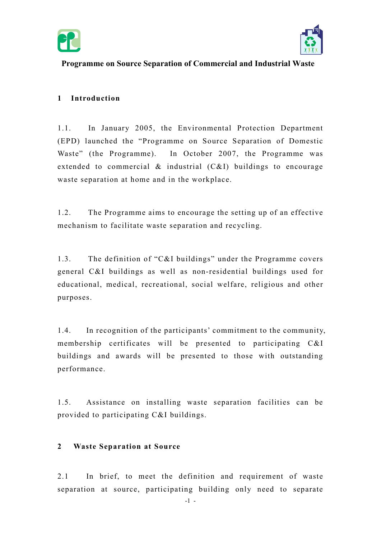



# Programme on Source Separation of Commercial and Industrial Waste

# 1 Introduction

 $1.1.$  (EPD) launched the "Programme on Source Separation of Domestic Waste" (the Programme). extended to commercial & industrial (C&I) buildings to encourage waste separation at home and in the workplace. In January 2005, the Environmental Protection Department In October 2007, the Programme was

 mechanism to facilitate waste separation and recycling. 1.2. The Programme aims to encourage the setting up of an effective

 $1.3.$  general C&I buildings as well as non-residential buildings used for educational, medical, recreational, social welfare, religious and other The definition of "C&I buildings" under the Programme covers purposes.

 1.4. In recognition of the participants' commitment to the community, membership certificates will be presented to participating C&I buildings and awards will be presented to those with outstanding performance.

 1.5. Assistance on installing waste separation facilities can be provided to participating C&I buildings.

## 2 Waste Separation at Source

 2.1 In brief, to meet the definition and requirement of waste separation at source, participating building only need to separate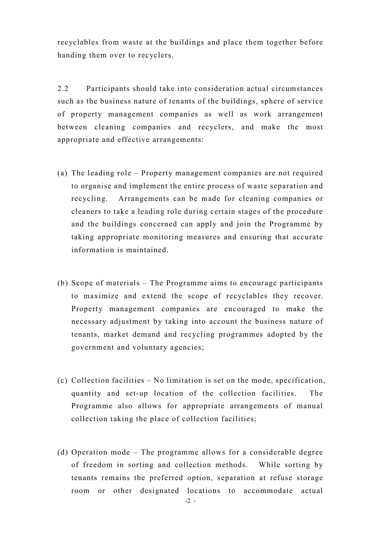recyclables from waste at the buildings and place them together before handing them over to recyclers.

 2.2 Participants should take into consideration actual circumstances such as the business nature of tenants of the buildings, sphere of service of property management companies as well as work arrangement between cleaning companies and recyclers, and make the most appropriate and effective arrangements:

- (a) The leading role Property management companies are not required to organise and implement the entire process of waste separation and recycling. cleaners to take a leading role during certain stages of the procedure and the buildings concerned can apply and join the Programme by taking appropriate monitoring measures and ensuring that accurate information is maintained. Arrangements can be made for cleaning companies or
- (b) Scope of materials The Programme aims to encourage participants to maximize and extend the scope of recyclables they recover. Property management companies are encouraged to make the necessary adjustment by taking into account the business nature of tenants, market demand and recycling programmes adopted by the government and voluntary agencies;
- (c) Collection facilities No limitation is set on the mode, specification, quantity and set-up location of the collection facilities. The Programme also allows for appropriate arrangements of manual collection taking the place of collection facilities;
- (d) Operation mode The programme allows for a considerable degree of freedom in sorting and collection methods. While sorting by tenants remains the preferred option, separation at refuse storage room or other designated locations to accommodate actual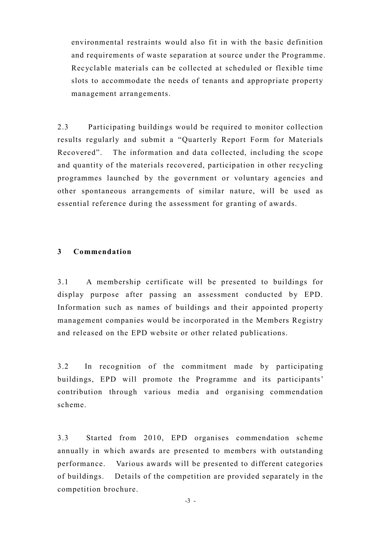environmental restraints would also fit in with the basic definition and requirements of waste separation at source under the Programme. Recyclable materials can be collected at scheduled or flexible time slots to accommodate the needs of tenants and appropriate property management arrangements.

 $2.3$  results regularly and submit a "Quarterly Report Form for Materials Recovered". The information and data collected, including the scope and quantity of the materials recovered, participation in other recycling programmes launched by the government or voluntary agencies and other spontaneous arrangements of similar nature, will be used as essential reference during the assessment for granting of awards. Participating buildings would be required to monitor collection

#### 3 Commendation

 3.1 A membership certificate will be presented to buildings for display purpose after passing an assessment conducted by EPD. Information such as names of buildings and their appointed property management companies would be incorporated in the Members Registry and released on the EPD website or other related publications.

 3.2 In recognition of the commitment made by participating buildings, EPD will promote the Programme and its participants' contribution through various media and organising commendation scheme.

 3.3 Started from 2010, EPD organises commendation scheme annually in which awards are presented to members with outstanding performance. of buildings. competition brochure. Various awards will be presented to different categories Details of the competition are provided separately in the

-3 -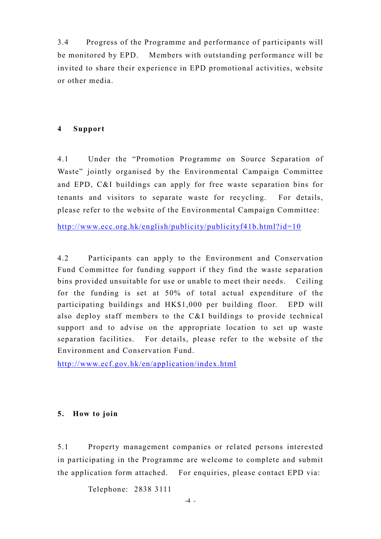3.4 Progress of the Programme and performance of participants will be monitored by EPD. Members with outstanding performance will be invited to share their experience in EPD promotional activities, website or other media.

#### 4 Support

 $4.1$  Waste" jointly organised by the Environmental Campaign Committee and EPD, C&I buildings can apply for free waste separation bins for tenants and visitors to separate waste for recycling. For details, please refer to the website of the Environmental Campaign Committee: Under the "Promotion Programme on Source Separation of

http://www.ecc.org.hk/english/publicity/publicityf41b.html?id=10

 $42$  Fund Committee for funding support if they find the waste separation bins provided unsuitable for use or unable to meet their needs. Ceiling for the funding is set at 50% of total actual expenditure of the participating buildings and HK\$1,000 per building floor. EPD will also deploy staff members to the C&I buildings to provide technical support and to advise on the appropriate location to set up waste separation facilities. For details, please refer to the website of the Environment and Conservation Fund. Participants can apply to the Environment and Conservation

http://www.ecf.gov.hk/en/application/index.html

### 5. How to join

 in participating in the Programme are welcome to complete and submit the application form attached. For enquiries, please contact EPD via: 5.1 Property management companies or related persons interested

Telephone: 2838 3111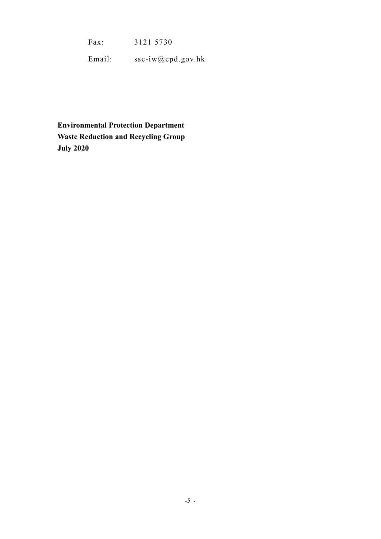$Fax:$ Fax: 3121 5730

Email: ssc-iw@epd.gov.hk

 Environmental Protection Department Waste Reduction and Recycling Group July 2020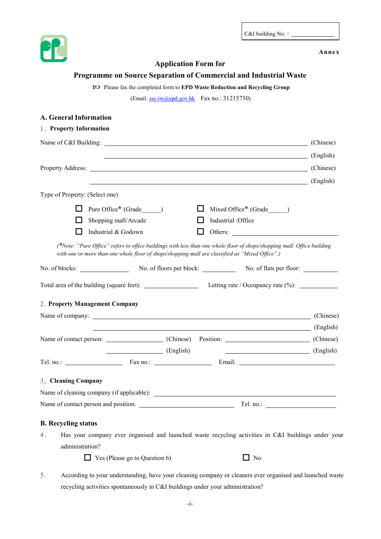C&I building No.:

Annex



## Application Form for

Programme on Source Separation of Commercial and Industrial Waste

Please fax the completed form to EPD Waste Reduction and Recycling Group

(Email: ssc-iw@epd.gov.hk Fax no.: 31215730)

| <b>A. General Information</b>                                                                                                                                                                                              |  |
|----------------------------------------------------------------------------------------------------------------------------------------------------------------------------------------------------------------------------|--|
| 1. Property Information                                                                                                                                                                                                    |  |
| Name of C&I Building: (Chinese) (Chinese)                                                                                                                                                                                  |  |
| (English)                                                                                                                                                                                                                  |  |
| Property Address: (Chinese) (Chinese)                                                                                                                                                                                      |  |
| (English)                                                                                                                                                                                                                  |  |
| Type of Property: (Select one)                                                                                                                                                                                             |  |
| Pure Office* (Grade )<br>Mixed Office* (Grade )                                                                                                                                                                            |  |
| Shopping mall/Arcade<br>Industrial /Office                                                                                                                                                                                 |  |
| Industrial & Godown<br>Others:                                                                                                                                                                                             |  |
| (*Note: "Pure Office" refers to office buildings with less than one whole floor of shops/shopping mall. Office building<br>with one or more than one whole floor of shops/shopping mall are classified as "Mixed Office".) |  |
| No. of floors per block: No. of flats per floor:<br>No. of blocks:                                                                                                                                                         |  |
| Total area of the building (square feet): Letting rate / Occupancy rate (%): __________                                                                                                                                    |  |
| 2. Property Management Company                                                                                                                                                                                             |  |
| Name of company: (Chinese) (Chinese)                                                                                                                                                                                       |  |
| (English)                                                                                                                                                                                                                  |  |
| Name of contact person: (Chinese) Position: (Chinese) Position: (Chinese)                                                                                                                                                  |  |
| (English)                                                                                                                                                                                                                  |  |
|                                                                                                                                                                                                                            |  |
| 3. Cleaning Company                                                                                                                                                                                                        |  |
|                                                                                                                                                                                                                            |  |
|                                                                                                                                                                                                                            |  |
| <b>B.</b> Recycling status                                                                                                                                                                                                 |  |
| Has your company ever organised and launched waste recycling activities in C&I buildings under your<br>4.                                                                                                                  |  |
| administration?                                                                                                                                                                                                            |  |
| $\Box$ Yes (Please go to Question 6)<br>$\Box$ No                                                                                                                                                                          |  |
| According to your understanding, have your cleaning company or cleaners ever organised and launched waste<br>5.<br>recycling activities spontaneously in C&I buildings under your administration?                          |  |